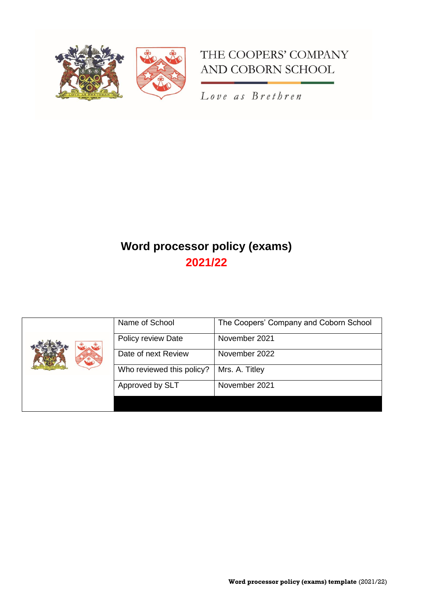



Love as Brethren

# **Word processor policy (exams) 2021/22**

|  | Name of School            | The Coopers' Company and Coborn School |
|--|---------------------------|----------------------------------------|
|  | Policy review Date        | November 2021                          |
|  | Date of next Review       | November 2022                          |
|  | Who reviewed this policy? | Mrs. A. Titley                         |
|  | Approved by SLT           | November 2021                          |
|  |                           |                                        |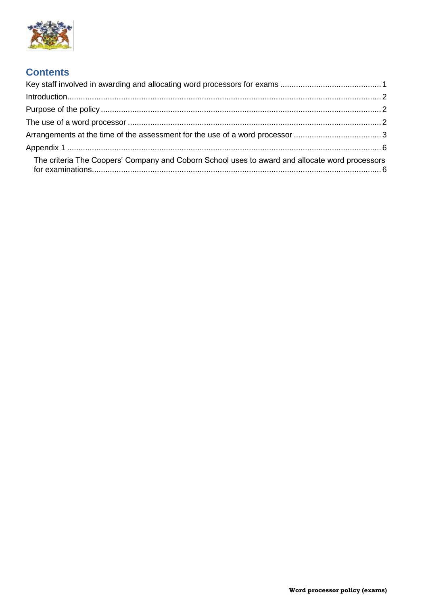

# **Contents**

| The criteria The Coopers' Company and Coborn School uses to award and allocate word processors |  |
|------------------------------------------------------------------------------------------------|--|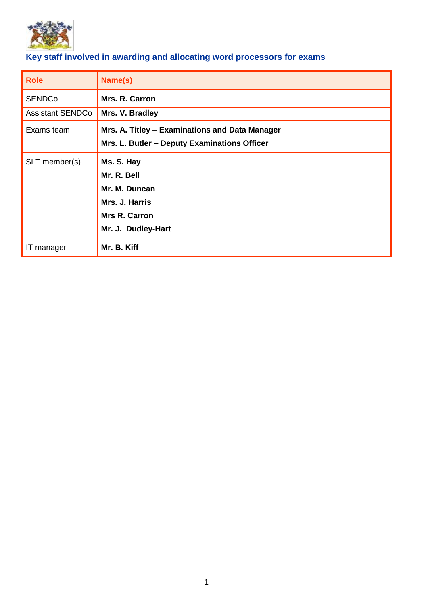

# <span id="page-2-0"></span>**Key staff involved in awarding and allocating word processors for exams**

| <b>Role</b>             | Name(s)                                                                                                    |
|-------------------------|------------------------------------------------------------------------------------------------------------|
| <b>SENDCo</b>           | Mrs. R. Carron                                                                                             |
| <b>Assistant SENDCo</b> | Mrs. V. Bradley                                                                                            |
| Exams team              | Mrs. A. Titley - Examinations and Data Manager<br>Mrs. L. Butler - Deputy Examinations Officer             |
| SLT member(s)           | Ms. S. Hay<br>Mr. R. Bell<br>Mr. M. Duncan<br>Mrs. J. Harris<br><b>Mrs R. Carron</b><br>Mr. J. Dudley-Hart |
| IT manager              | Mr. B. Kiff                                                                                                |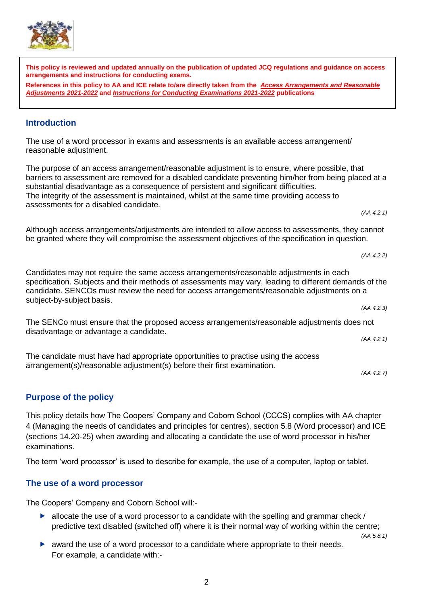<span id="page-3-0"></span>

**arrangements and instructions for conducting exams.** 

The purpose of an access arrangement/reasonable adjustment is to ensure, where possible, that barriers to assessment are removed for a disabled candidate preventing him/her from being placed at a substantial disadvantage as a consequence of persistent and significant difficulties. The integrity of the assessment is maintained, whilst at the same time providing access to assessments for a disabled candidate. *(AA 4.2.1)*

**This policy is reviewed and updated annually on the publication of updated JCQ regulations and guidance on access** 

Although access arrangements/adjustments are intended to allow access to assessments, they cannot be granted where they will compromise the assessment objectives of the specification in question.

Candidates may not require the same access arrangements/reasonable adjustments in each specification. Subjects and their methods of assessments may vary, leading to different demands of the candidate. SENCOs must review the need for access arrangements/reasonable adjustments on a subject-by-subject basis. *(AA 4.2.3)*

The SENCo must ensure that the proposed access arrangements/reasonable adjustments does not disadvantage or advantage a candidate. *(AA 4.2.1)*

The candidate must have had appropriate opportunities to practise using the access arrangement(s)/reasonable adjustment(s) before their first examination.

<span id="page-3-1"></span>**Purpose of the policy**

This policy details how The Coopers' Company and Coborn School (CCCS) complies with AA chapter 4 (Managing the needs of candidates and principles for centres), section 5.8 (Word processor) and ICE (sections 14.20-25) when awarding and allocating a candidate the use of word processor in his/her examinations.

The term 'word processor' is used to describe for example, the use of a computer, laptop or tablet.

## <span id="page-3-2"></span>**The use of a word processor**

The Coopers' Company and Coborn School will:-

- $\blacktriangleright$  allocate the use of a word processor to a candidate with the spelling and grammar check / predictive text disabled (switched off) where it is their normal way of working within the centre;
	- *(AA 5.8.1)*
- $\triangleright$  award the use of a word processor to a candidate where appropriate to their needs. For example, a candidate with:-

 $\overline{a}$ 

*(AA 4.2.2)*

*(AA 4.2.7)*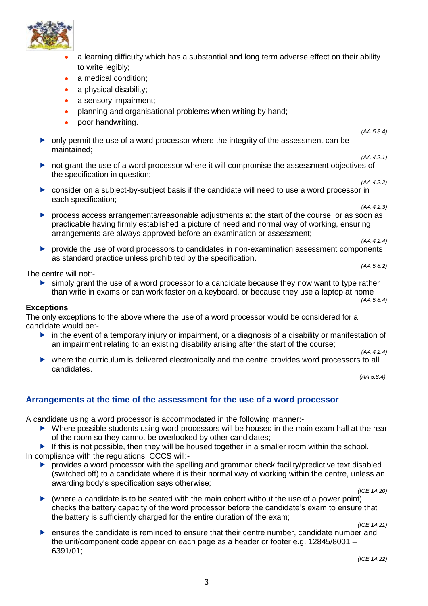

- a learning difficulty which has a substantial and long term adverse effect on their ability to write legibly;
- a medical condition:
- a physical disability;
- a sensory impairment;
- planning and organisational problems when writing by hand;
- poor handwriting.
- only permit the use of a word processor where the integrity of the assessment can be maintained;
- *(AA 4.2.1)* not grant the use of a word processor where it will compromise the assessment objectives of the specification in question;
- *(AA 4.2.2)*   $\triangleright$  consider on a subject-by-subject basis if the candidate will need to use a word processor in each specification;
- *(AA 4.2.3)* process access arrangements/reasonable adjustments at the start of the course, or as soon as practicable having firmly established a picture of need and normal way of working, ensuring arrangements are always approved before an examination or assessment; *(AA 4.2.4)*
- provide the use of word processors to candidates in non-examination assessment components as standard practice unless prohibited by the specification. *(AA 5.8.2)*

The centre will not:-

 $\triangleright$  simply grant the use of a word processor to a candidate because they now want to type rather than write in exams or can work faster on a keyboard, or because they use a laptop at home *(AA 5.8.4)* 

### **Exceptions**

The only exceptions to the above where the use of a word processor would be considered for a candidate would be:-

- in the event of a temporary injury or impairment, or a diagnosis of a disability or manifestation of an impairment relating to an existing disability arising after the start of the course; *(AA 4.2.4)*
- where the curriculum is delivered electronically and the centre provides word processors to all candidates.

*(AA 5.8.4).*

*(AA 5.8.4)*

## <span id="page-4-0"></span>**Arrangements at the time of the assessment for the use of a word processor**

A candidate using a word processor is accommodated in the following manner:-

- ▶ Where possible students using word processors will be housed in the main exam hall at the rear of the room so they cannot be overlooked by other candidates;
- If this is not possible, then they will be housed together in a smaller room within the school. In compliance with the regulations, CCCS will:-
	- **P** provides a word processor with the spelling and grammar check facility/predictive text disabled (switched off) to a candidate where it is their normal way of working within the centre, unless an awarding body's specification says otherwise;

*(ICE 14.20)*

 $\triangleright$  (where a candidate is to be seated with the main cohort without the use of a power point) checks the battery capacity of the word processor before the candidate's exam to ensure that the battery is sufficiently charged for the entire duration of the exam;

*(ICE 14.21)*

 ensures the candidate is reminded to ensure that their centre number, candidate number and the unit/component code appear on each page as a header or footer e.g. 12845/8001 – 6391/01;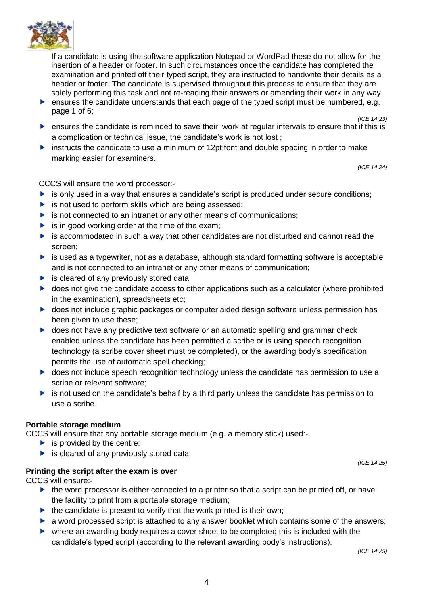

If a candidate is using the software application Notepad or WordPad these do not allow for the insertion of a header or footer. In such circumstances once the candidate has completed the examination and printed off their typed script, they are instructed to handwrite their details as a header or footer. The candidate is supervised throughout this process to ensure that they are solely performing this task and not re-reading their answers or amending their work in any way.

- **EX** ensures the candidate understands that each page of the typed script must be numbered, e.g. page 1 of 6; *(ICE 14.23)*
- $\blacktriangleright$  ensures the candidate is reminded to save their work at regular intervals to ensure that if this is a complication or technical issue, the candidate's work is not lost ;
- instructs the candidate to use a minimum of 12pt font and double spacing in order to make marking easier for examiners.

*(ICE 14.24)*

CCCS will ensure the word processor:-

- $\triangleright$  is only used in a way that ensures a candidate's script is produced under secure conditions;
- $\triangleright$  is not used to perform skills which are being assessed;
- $\triangleright$  is not connected to an intranet or any other means of communications;
- $\triangleright$  is in good working order at the time of the exam:
- $\triangleright$  is accommodated in such a way that other candidates are not disturbed and cannot read the screen;
- $\triangleright$  is used as a typewriter, not as a database, although standard formatting software is acceptable and is not connected to an intranet or any other means of communication;
- $\blacktriangleright$  is cleared of any previously stored data;
- $\triangleright$  does not give the candidate access to other applications such as a calculator (where prohibited in the examination), spreadsheets etc;
- ▶ does not include graphic packages or computer aided design software unless permission has been given to use these;
- **L** does not have any predictive text software or an automatic spelling and grammar check enabled unless the candidate has been permitted a scribe or is using speech recognition technology (a scribe cover sheet must be completed), or the awarding body's specification permits the use of automatic spell checking;
- **b** does not include speech recognition technology unless the candidate has permission to use a scribe or relevant software;
- $\triangleright$  is not used on the candidate's behalf by a third party unless the candidate has permission to use a scribe.

### **Portable storage medium**

CCCS will ensure that any portable storage medium (e.g. a memory stick) used:-

- $\blacktriangleright$  is provided by the centre;
- $\blacktriangleright$  is cleared of any previously stored data.

## **Printing the script after the exam is over**

CCCS will ensure:-

- $\blacktriangleright$  the word processor is either connected to a printer so that a script can be printed off, or have the facility to print from a portable storage medium;
- $\blacktriangleright$  the candidate is present to verify that the work printed is their own:
- **a** word processed script is attached to any answer booklet which contains some of the answers;
- $\triangleright$  where an awarding body requires a cover sheet to be completed this is included with the candidate's typed script (according to the relevant awarding body's instructions).

*(ICE 14.25)*

*(ICE 14.25)*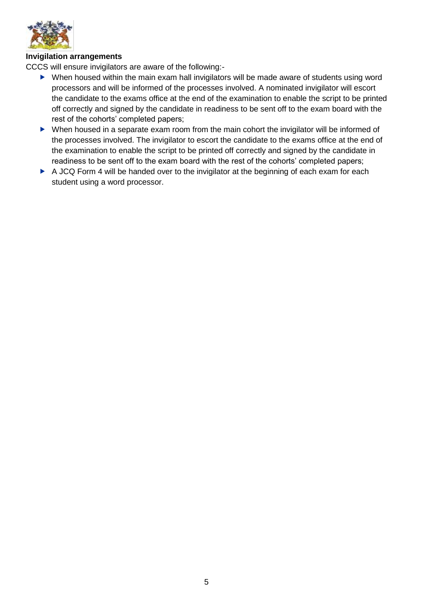

### **Invigilation arrangements**

CCCS will ensure invigilators are aware of the following:-

- ▶ When housed within the main exam hall invigilators will be made aware of students using word processors and will be informed of the processes involved. A nominated invigilator will escort the candidate to the exams office at the end of the examination to enable the script to be printed off correctly and signed by the candidate in readiness to be sent off to the exam board with the rest of the cohorts' completed papers;
- When housed in a separate exam room from the main cohort the invigilator will be informed of the processes involved. The invigilator to escort the candidate to the exams office at the end of the examination to enable the script to be printed off correctly and signed by the candidate in readiness to be sent off to the exam board with the rest of the cohorts' completed papers;
- A JCQ Form 4 will be handed over to the invigilator at the beginning of each exam for each student using a word processor.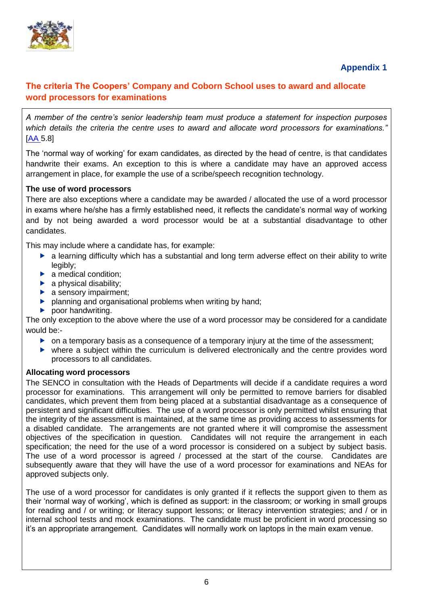

# **Appendix 1**

# <span id="page-7-1"></span><span id="page-7-0"></span>**The criteria The Coopers' Company and Coborn School uses to award and allocate word processors for examinations**

*A member of the centre's senior leadership team must produce a statement for inspection purposes which details the criteria the centre uses to award and allocate word processors for examinations."*  [\[AA](http://www.jcq.org.uk/exams-office/access-arrangements-and-special-consideration) 5.8]

The 'normal way of working' for exam candidates, as directed by the head of centre, is that candidates handwrite their exams. An exception to this is where a candidate may have an approved access arrangement in place, for example the use of a scribe/speech recognition technology.

## **The use of word processors**

There are also exceptions where a candidate may be awarded / allocated the use of a word processor in exams where he/she has a firmly established need, it reflects the candidate's normal way of working and by not being awarded a word processor would be at a substantial disadvantage to other candidates.

This may include where a candidate has, for example:

- a learning difficulty which has a substantial and long term adverse effect on their ability to write legibly;
- ▶ a medical condition:
- $\blacktriangleright$  a physical disability:
- $\blacktriangleright$  a sensory impairment;
- **P** planning and organisational problems when writing by hand;
- $\blacktriangleright$  poor handwriting.

The only exception to the above where the use of a word processor may be considered for a candidate would be:-

- $\triangleright$  on a temporary basis as a consequence of a temporary injury at the time of the assessment;
- where a subject within the curriculum is delivered electronically and the centre provides word processors to all candidates.

### **Allocating word processors**

The SENCO in consultation with the Heads of Departments will decide if a candidate requires a word processor for examinations. This arrangement will only be permitted to remove barriers for disabled candidates, which prevent them from being placed at a substantial disadvantage as a consequence of persistent and significant difficulties. The use of a word processor is only permitted whilst ensuring that the integrity of the assessment is maintained, at the same time as providing access to assessments for a disabled candidate. The arrangements are not granted where it will compromise the assessment objectives of the specification in question. Candidates will not require the arrangement in each specification; the need for the use of a word processor is considered on a subject by subject basis. The use of a word processor is agreed / processed at the start of the course. Candidates are subsequently aware that they will have the use of a word processor for examinations and NEAs for approved subjects only.

The use of a word processor for candidates is only granted if it reflects the support given to them as their 'normal way of working', which is defined as support: in the classroom; or working in small groups for reading and / or writing; or literacy support lessons; or literacy intervention strategies; and / or in internal school tests and mock examinations. The candidate must be proficient in word processing so it's an appropriate arrangement. Candidates will normally work on laptops in the main exam venue.